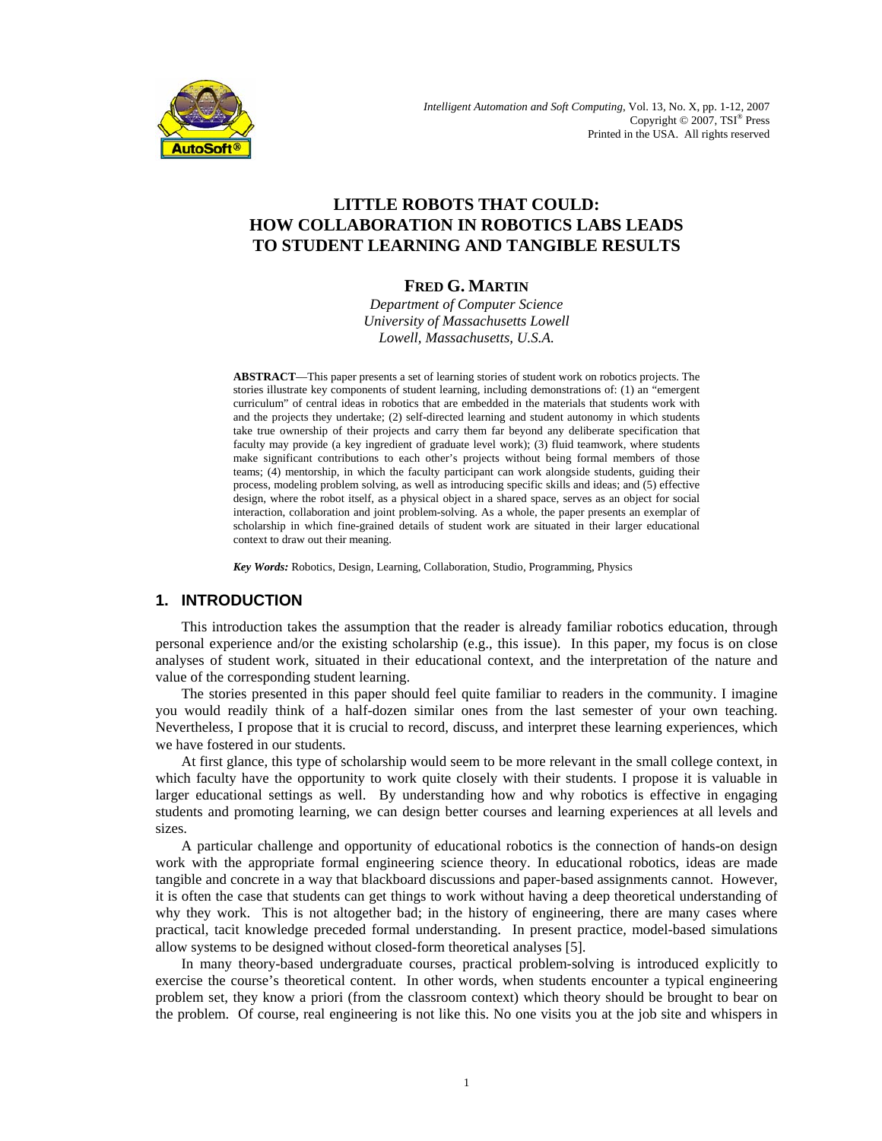

# **LITTLE ROBOTS THAT COULD: HOW COLLABORATION IN ROBOTICS LABS LEADS TO STUDENT LEARNING AND TANGIBLE RESULTS**

## **FRED G. MARTIN**

*Department of Computer Science University of Massachusetts Lowell Lowell, Massachusetts, U.S.A.* 

**ABSTRACT**—This paper presents a set of learning stories of student work on robotics projects. The stories illustrate key components of student learning, including demonstrations of: (1) an "emergent curriculum" of central ideas in robotics that are embedded in the materials that students work with and the projects they undertake; (2) self-directed learning and student autonomy in which students take true ownership of their projects and carry them far beyond any deliberate specification that faculty may provide (a key ingredient of graduate level work); (3) fluid teamwork, where students make significant contributions to each other's projects without being formal members of those teams; (4) mentorship, in which the faculty participant can work alongside students, guiding their process, modeling problem solving, as well as introducing specific skills and ideas; and (5) effective design, where the robot itself, as a physical object in a shared space, serves as an object for social interaction, collaboration and joint problem-solving. As a whole, the paper presents an exemplar of scholarship in which fine-grained details of student work are situated in their larger educational context to draw out their meaning.

*Key Words:* Robotics, Design, Learning, Collaboration, Studio, Programming, Physics

### **1. INTRODUCTION**

This introduction takes the assumption that the reader is already familiar robotics education, through personal experience and/or the existing scholarship (e.g., this issue). In this paper, my focus is on close analyses of student work, situated in their educational context, and the interpretation of the nature and value of the corresponding student learning.

The stories presented in this paper should feel quite familiar to readers in the community. I imagine you would readily think of a half-dozen similar ones from the last semester of your own teaching. Nevertheless, I propose that it is crucial to record, discuss, and interpret these learning experiences, which we have fostered in our students.

At first glance, this type of scholarship would seem to be more relevant in the small college context, in which faculty have the opportunity to work quite closely with their students. I propose it is valuable in larger educational settings as well. By understanding how and why robotics is effective in engaging students and promoting learning, we can design better courses and learning experiences at all levels and sizes.

A particular challenge and opportunity of educational robotics is the connection of hands-on design work with the appropriate formal engineering science theory. In educational robotics, ideas are made tangible and concrete in a way that blackboard discussions and paper-based assignments cannot. However, it is often the case that students can get things to work without having a deep theoretical understanding of why they work. This is not altogether bad; in the history of engineering, there are many cases where practical, tacit knowledge preceded formal understanding. In present practice, model-based simulations allow systems to be designed without closed-form theoretical analyses [5].

In many theory-based undergraduate courses, practical problem-solving is introduced explicitly to exercise the course's theoretical content. In other words, when students encounter a typical engineering problem set, they know a priori (from the classroom context) which theory should be brought to bear on the problem. Of course, real engineering is not like this. No one visits you at the job site and whispers in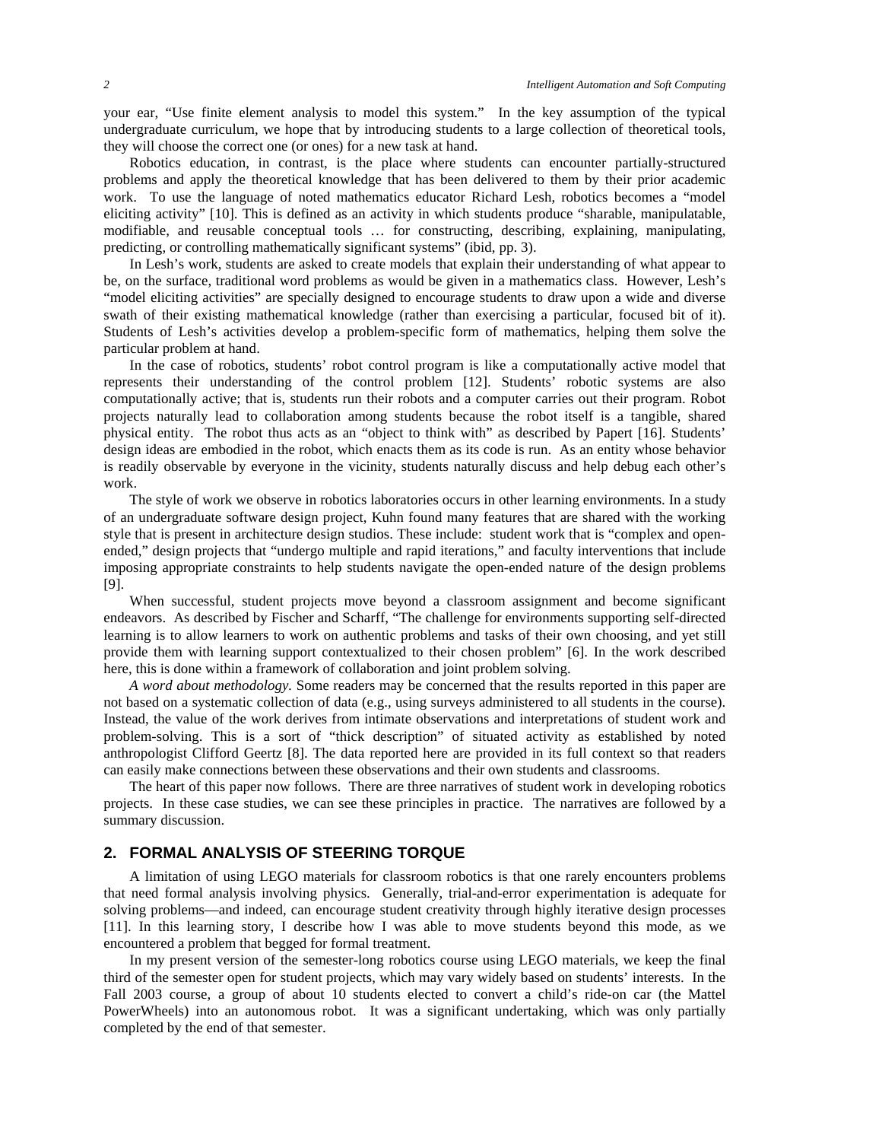your ear, "Use finite element analysis to model this system." In the key assumption of the typical undergraduate curriculum, we hope that by introducing students to a large collection of theoretical tools, they will choose the correct one (or ones) for a new task at hand.

Robotics education, in contrast, is the place where students can encounter partially-structured problems and apply the theoretical knowledge that has been delivered to them by their prior academic work. To use the language of noted mathematics educator Richard Lesh, robotics becomes a "model eliciting activity" [10]. This is defined as an activity in which students produce "sharable, manipulatable, modifiable, and reusable conceptual tools … for constructing, describing, explaining, manipulating, predicting, or controlling mathematically significant systems" (ibid, pp. 3).

In Lesh's work, students are asked to create models that explain their understanding of what appear to be, on the surface, traditional word problems as would be given in a mathematics class. However, Lesh's "model eliciting activities" are specially designed to encourage students to draw upon a wide and diverse swath of their existing mathematical knowledge (rather than exercising a particular, focused bit of it). Students of Lesh's activities develop a problem-specific form of mathematics, helping them solve the particular problem at hand.

In the case of robotics, students' robot control program is like a computationally active model that represents their understanding of the control problem [12]. Students' robotic systems are also computationally active; that is, students run their robots and a computer carries out their program. Robot projects naturally lead to collaboration among students because the robot itself is a tangible, shared physical entity. The robot thus acts as an "object to think with" as described by Papert [16]. Students' design ideas are embodied in the robot, which enacts them as its code is run. As an entity whose behavior is readily observable by everyone in the vicinity, students naturally discuss and help debug each other's work.

The style of work we observe in robotics laboratories occurs in other learning environments. In a study of an undergraduate software design project, Kuhn found many features that are shared with the working style that is present in architecture design studios. These include: student work that is "complex and openended," design projects that "undergo multiple and rapid iterations," and faculty interventions that include imposing appropriate constraints to help students navigate the open-ended nature of the design problems [9].

When successful, student projects move beyond a classroom assignment and become significant endeavors. As described by Fischer and Scharff, "The challenge for environments supporting self-directed learning is to allow learners to work on authentic problems and tasks of their own choosing, and yet still provide them with learning support contextualized to their chosen problem" [6]. In the work described here, this is done within a framework of collaboration and joint problem solving.

*A word about methodology.* Some readers may be concerned that the results reported in this paper are not based on a systematic collection of data (e.g., using surveys administered to all students in the course). Instead, the value of the work derives from intimate observations and interpretations of student work and problem-solving. This is a sort of "thick description" of situated activity as established by noted anthropologist Clifford Geertz [8]. The data reported here are provided in its full context so that readers can easily make connections between these observations and their own students and classrooms.

The heart of this paper now follows. There are three narratives of student work in developing robotics projects. In these case studies, we can see these principles in practice. The narratives are followed by a summary discussion.

### **2. FORMAL ANALYSIS OF STEERING TORQUE**

A limitation of using LEGO materials for classroom robotics is that one rarely encounters problems that need formal analysis involving physics. Generally, trial-and-error experimentation is adequate for solving problems—and indeed, can encourage student creativity through highly iterative design processes [11]. In this learning story, I describe how I was able to move students beyond this mode, as we encountered a problem that begged for formal treatment.

In my present version of the semester-long robotics course using LEGO materials, we keep the final third of the semester open for student projects, which may vary widely based on students' interests. In the Fall 2003 course, a group of about 10 students elected to convert a child's ride-on car (the Mattel PowerWheels) into an autonomous robot. It was a significant undertaking, which was only partially completed by the end of that semester.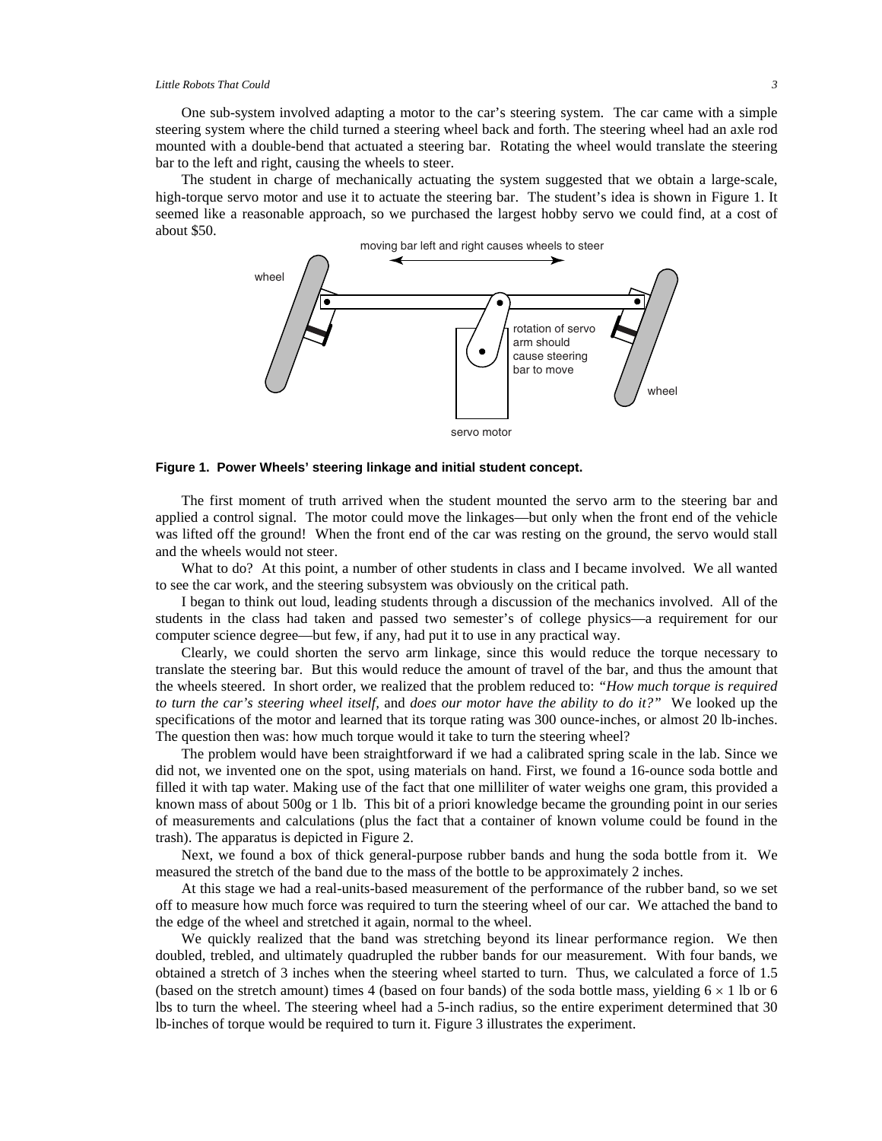One sub-system involved adapting a motor to the car's steering system. The car came with a simple steering system where the child turned a steering wheel back and forth. The steering wheel had an axle rod mounted with a double-bend that actuated a steering bar. Rotating the wheel would translate the steering bar to the left and right, causing the wheels to steer.

The student in charge of mechanically actuating the system suggested that we obtain a large-scale, high-torque servo motor and use it to actuate the steering bar. The student's idea is shown in Figure 1. It seemed like a reasonable approach, so we purchased the largest hobby servo we could find, at a cost of about \$50.



### **Figure 1. Power Wheels' steering linkage and initial student concept.**

The first moment of truth arrived when the student mounted the servo arm to the steering bar and applied a control signal. The motor could move the linkages—but only when the front end of the vehicle was lifted off the ground! When the front end of the car was resting on the ground, the servo would stall and the wheels would not steer.

What to do? At this point, a number of other students in class and I became involved. We all wanted to see the car work, and the steering subsystem was obviously on the critical path.

I began to think out loud, leading students through a discussion of the mechanics involved. All of the students in the class had taken and passed two semester's of college physics—a requirement for our computer science degree—but few, if any, had put it to use in any practical way.

Clearly, we could shorten the servo arm linkage, since this would reduce the torque necessary to translate the steering bar. But this would reduce the amount of travel of the bar, and thus the amount that the wheels steered. In short order, we realized that the problem reduced to: *"How much torque is required to turn the car's steering wheel itself,* and *does our motor have the ability to do it?"* We looked up the specifications of the motor and learned that its torque rating was 300 ounce-inches, or almost 20 lb-inches. The question then was: how much torque would it take to turn the steering wheel?

The problem would have been straightforward if we had a calibrated spring scale in the lab. Since we did not, we invented one on the spot, using materials on hand. First, we found a 16-ounce soda bottle and filled it with tap water. Making use of the fact that one milliliter of water weighs one gram, this provided a known mass of about 500g or 1 lb. This bit of a priori knowledge became the grounding point in our series of measurements and calculations (plus the fact that a container of known volume could be found in the trash). The apparatus is depicted in Figure 2.

Next, we found a box of thick general-purpose rubber bands and hung the soda bottle from it. We measured the stretch of the band due to the mass of the bottle to be approximately 2 inches.

At this stage we had a real-units-based measurement of the performance of the rubber band, so we set off to measure how much force was required to turn the steering wheel of our car. We attached the band to the edge of the wheel and stretched it again, normal to the wheel.

We quickly realized that the band was stretching beyond its linear performance region. We then doubled, trebled, and ultimately quadrupled the rubber bands for our measurement. With four bands, we obtained a stretch of 3 inches when the steering wheel started to turn. Thus, we calculated a force of 1.5 (based on the stretch amount) times 4 (based on four bands) of the soda bottle mass, yielding  $6 \times 1$  lb or 6 lbs to turn the wheel. The steering wheel had a 5-inch radius, so the entire experiment determined that 30 lb-inches of torque would be required to turn it. Figure 3 illustrates the experiment.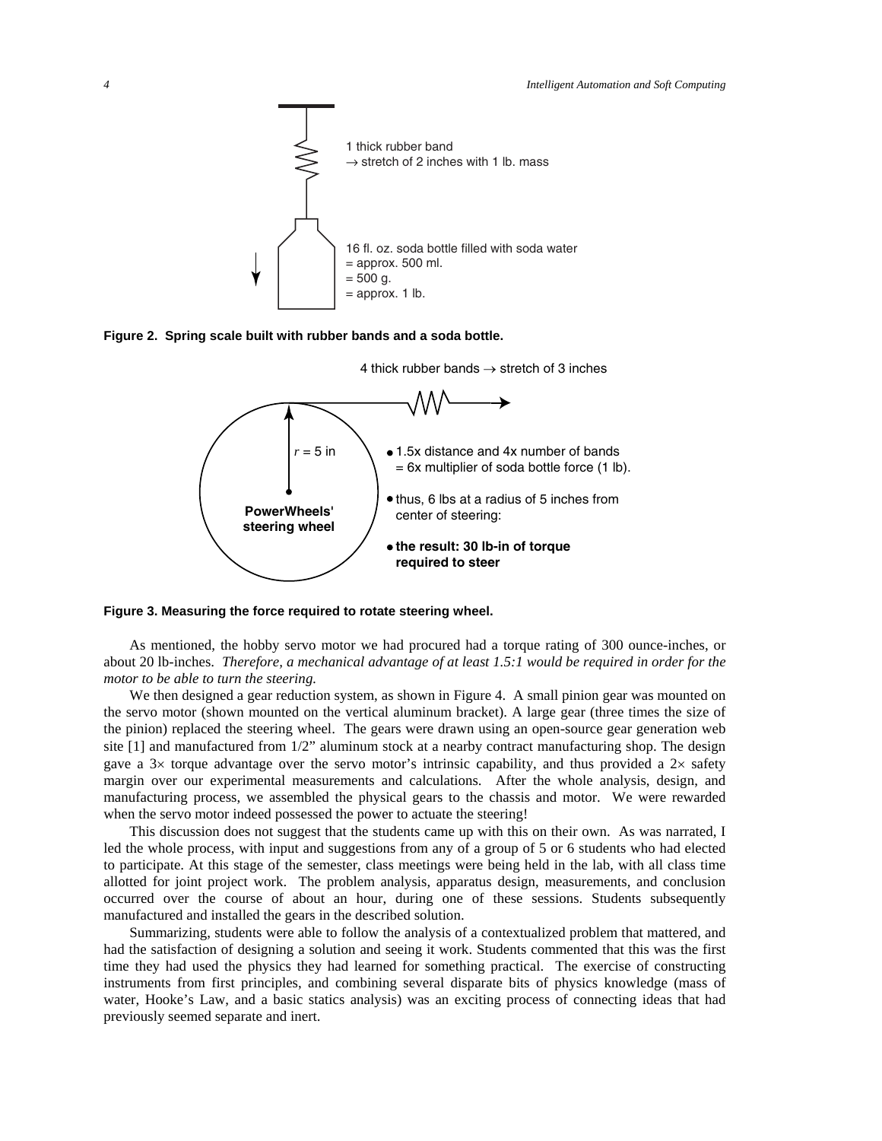





### **Figure 3. Measuring the force required to rotate steering wheel.**

As mentioned, the hobby servo motor we had procured had a torque rating of 300 ounce-inches, or about 20 lb-inches. *Therefore, a mechanical advantage of at least 1.5:1 would be required in order for the motor to be able to turn the steering.*

We then designed a gear reduction system, as shown in Figure 4. A small pinion gear was mounted on the servo motor (shown mounted on the vertical aluminum bracket). A large gear (three times the size of the pinion) replaced the steering wheel. The gears were drawn using an open-source gear generation web site [1] and manufactured from 1/2" aluminum stock at a nearby contract manufacturing shop. The design gave a  $3\times$  torque advantage over the servo motor's intrinsic capability, and thus provided a  $2\times$  safety margin over our experimental measurements and calculations. After the whole analysis, design, and manufacturing process, we assembled the physical gears to the chassis and motor. We were rewarded when the servo motor indeed possessed the power to actuate the steering!

This discussion does not suggest that the students came up with this on their own. As was narrated, I led the whole process, with input and suggestions from any of a group of 5 or 6 students who had elected to participate. At this stage of the semester, class meetings were being held in the lab, with all class time allotted for joint project work. The problem analysis, apparatus design, measurements, and conclusion occurred over the course of about an hour, during one of these sessions. Students subsequently manufactured and installed the gears in the described solution.

Summarizing, students were able to follow the analysis of a contextualized problem that mattered, and had the satisfaction of designing a solution and seeing it work. Students commented that this was the first time they had used the physics they had learned for something practical. The exercise of constructing instruments from first principles, and combining several disparate bits of physics knowledge (mass of water, Hooke's Law, and a basic statics analysis) was an exciting process of connecting ideas that had previously seemed separate and inert.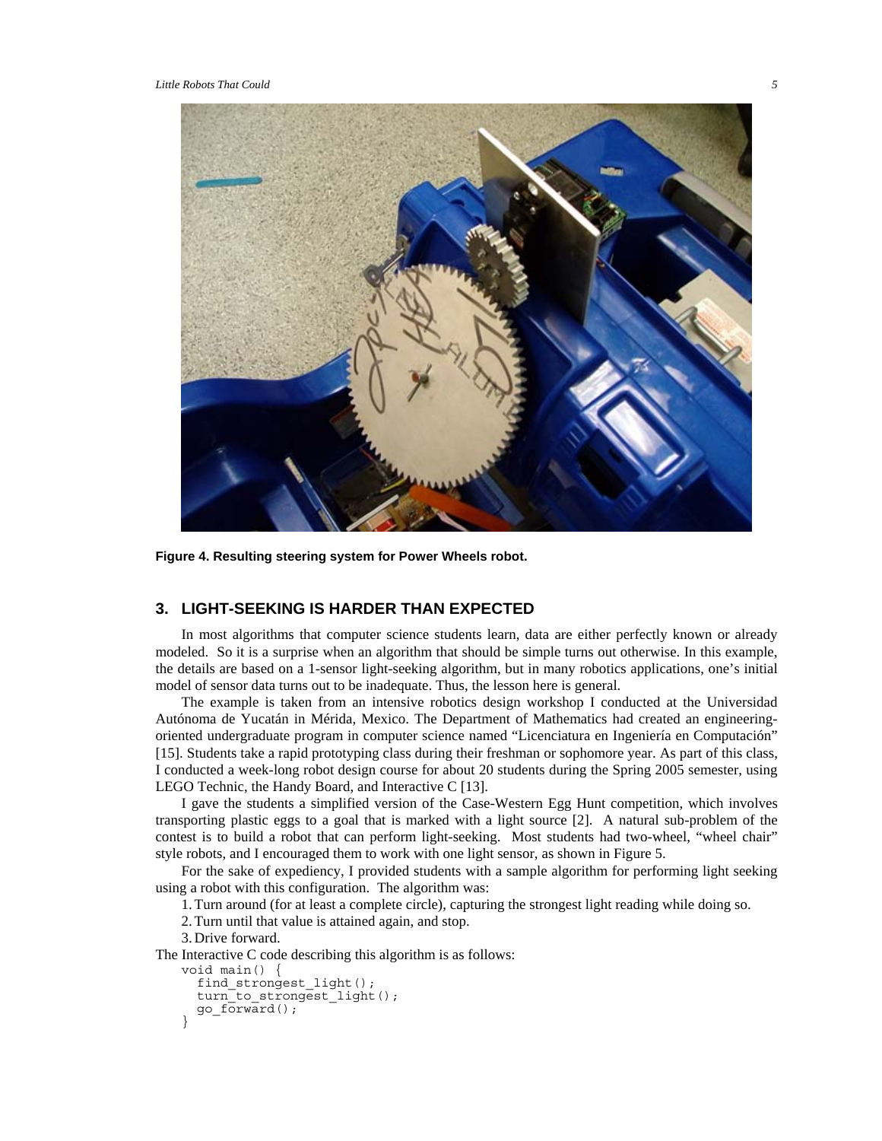

**Figure 4. Resulting steering system for Power Wheels robot.** 

## **3. LIGHT-SEEKING IS HARDER THAN EXPECTED**

In most algorithms that computer science students learn, data are either perfectly known or already modeled. So it is a surprise when an algorithm that should be simple turns out otherwise. In this example, the details are based on a 1-sensor light-seeking algorithm, but in many robotics applications, one's initial model of sensor data turns out to be inadequate. Thus, the lesson here is general.

The example is taken from an intensive robotics design workshop I conducted at the Universidad Autónoma de Yucatán in Mérida, Mexico. The Department of Mathematics had created an engineeringoriented undergraduate program in computer science named "Licenciatura en Ingeniería en Computación" [15]. Students take a rapid prototyping class during their freshman or sophomore year. As part of this class, I conducted a week-long robot design course for about 20 students during the Spring 2005 semester, using LEGO Technic, the Handy Board, and Interactive C [13].

I gave the students a simplified version of the Case-Western Egg Hunt competition, which involves transporting plastic eggs to a goal that is marked with a light source [2]. A natural sub-problem of the contest is to build a robot that can perform light-seeking. Most students had two-wheel, "wheel chair" style robots, and I encouraged them to work with one light sensor, as shown in Figure 5.

For the sake of expediency, I provided students with a sample algorithm for performing light seeking using a robot with this configuration. The algorithm was:

1.Turn around (for at least a complete circle), capturing the strongest light reading while doing so.

2.Turn until that value is attained again, and stop.

3. Drive forward.

The Interactive C code describing this algorithm is as follows:

```
void main() { 
   find_strongest_light(); 
  turn to strongest light();
  go_f\overline{orward}();
}
```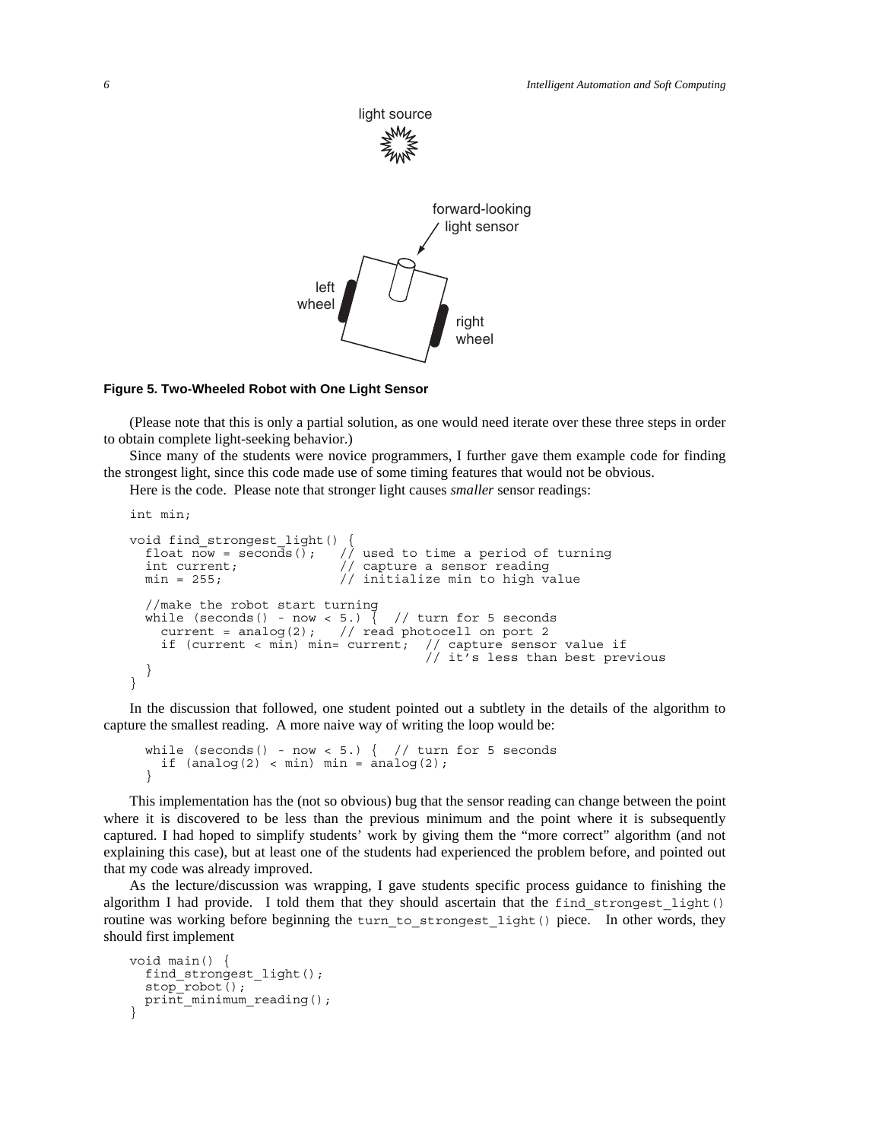

### **Figure 5. Two-Wheeled Robot with One Light Sensor**

(Please note that this is only a partial solution, as one would need iterate over these three steps in order to obtain complete light-seeking behavior.)

Since many of the students were novice programmers, I further gave them example code for finding the strongest light, since this code made use of some timing features that would not be obvious.

Here is the code. Please note that stronger light causes *smaller* sensor readings:

```
int min;
```

```
void find_strongest_light() { 
  id find_strongest_light() {<br>float now = seconds(); // used to time a period of turning
   int current; // capture a sensor reading 
  min = 255; // initialize min to high value //make the robot start turning 
  while (seconds() - now < 5.) \left\{\n \begin{array}{cc}\n / & \text{turn} & \text{for} & 5 \text{ seconds} \\
 \text{current} & = \text{analog}(2) & ; & \text{/(read} & \text{photocell} & \text{on} & \text{port 2}\n \end{array}\n\right\}// read photocell on port 2
 if (current < min) min= current; // capture sensor value if 
 // it's less than best previous 
   } 
}
```
In the discussion that followed, one student pointed out a subtlety in the details of the algorithm to capture the smallest reading. A more naive way of writing the loop would be:

```
while (seconds() - now < 5.) { // turn for 5 seconds
  if (analog(2) < min) min = analog(2); }
```
This implementation has the (not so obvious) bug that the sensor reading can change between the point where it is discovered to be less than the previous minimum and the point where it is subsequently captured. I had hoped to simplify students' work by giving them the "more correct" algorithm (and not explaining this case), but at least one of the students had experienced the problem before, and pointed out that my code was already improved.

As the lecture/discussion was wrapping, I gave students specific process guidance to finishing the algorithm I had provide. I told them that they should ascertain that the find\_strongest\_light() routine was working before beginning the turn to strongest light() piece. In other words, they should first implement

```
void main() { 
 find strongest light();
 stop_robot();
 print minimum reading();
}
```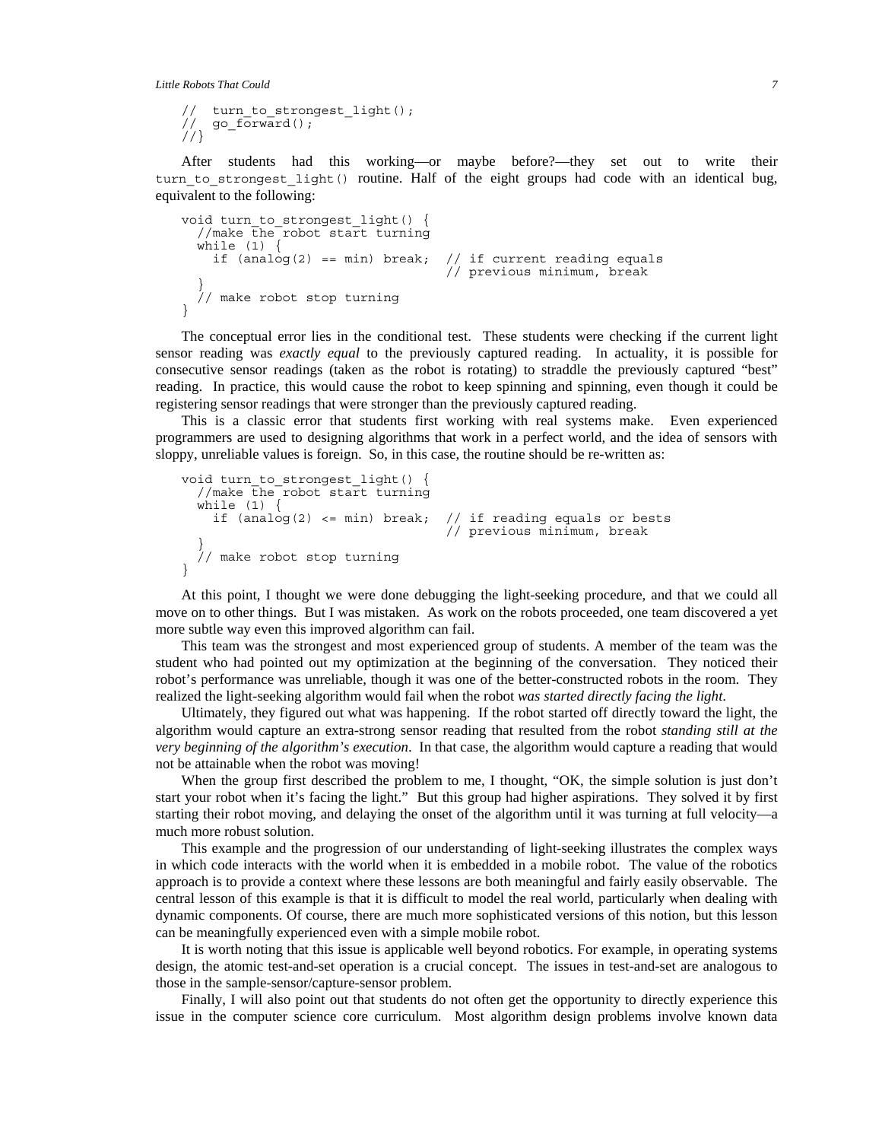*Little Robots That Could 7* 

```
// turn_to_strongest_light(); 
// go_forward(); 
//}
```
After students had this working—or maybe before?—they set out to write their turn\_to\_strongest\_light() routine. Half of the eight groups had code with an identical bug, equivalent to the following:

```
void turn to strongest light() {
  //make the robot start turning 
 while (1) {<br>if (analog(2) == min) break;
if (analog(2) == min) break; // if current reading equals
 // previous minimum, break 
 } 
  // make robot stop turning 
}
```
The conceptual error lies in the conditional test. These students were checking if the current light sensor reading was *exactly equal* to the previously captured reading. In actuality, it is possible for consecutive sensor readings (taken as the robot is rotating) to straddle the previously captured "best" reading. In practice, this would cause the robot to keep spinning and spinning, even though it could be registering sensor readings that were stronger than the previously captured reading.

This is a classic error that students first working with real systems make. Even experienced programmers are used to designing algorithms that work in a perfect world, and the idea of sensors with sloppy, unreliable values is foreign. So, in this case, the routine should be re-written as:

```
void turn to strongest light() {
   //make the robot start turning 
  while (1) {<br>if (analog(2) \leq min) break;
                                      // if reading equals or bests
                                        // previous minimum, break 
 } 
    // make robot stop turning 
}
```
At this point, I thought we were done debugging the light-seeking procedure, and that we could all move on to other things. But I was mistaken. As work on the robots proceeded, one team discovered a yet more subtle way even this improved algorithm can fail.

This team was the strongest and most experienced group of students. A member of the team was the student who had pointed out my optimization at the beginning of the conversation. They noticed their robot's performance was unreliable, though it was one of the better-constructed robots in the room. They realized the light-seeking algorithm would fail when the robot *was started directly facing the light*.

Ultimately, they figured out what was happening. If the robot started off directly toward the light, the algorithm would capture an extra-strong sensor reading that resulted from the robot *standing still at the very beginning of the algorithm's execution*. In that case, the algorithm would capture a reading that would not be attainable when the robot was moving!

When the group first described the problem to me, I thought, "OK, the simple solution is just don't start your robot when it's facing the light." But this group had higher aspirations. They solved it by first starting their robot moving, and delaying the onset of the algorithm until it was turning at full velocity—a much more robust solution.

This example and the progression of our understanding of light-seeking illustrates the complex ways in which code interacts with the world when it is embedded in a mobile robot. The value of the robotics approach is to provide a context where these lessons are both meaningful and fairly easily observable. The central lesson of this example is that it is difficult to model the real world, particularly when dealing with dynamic components. Of course, there are much more sophisticated versions of this notion, but this lesson can be meaningfully experienced even with a simple mobile robot.

It is worth noting that this issue is applicable well beyond robotics. For example, in operating systems design, the atomic test-and-set operation is a crucial concept. The issues in test-and-set are analogous to those in the sample-sensor/capture-sensor problem.

Finally, I will also point out that students do not often get the opportunity to directly experience this issue in the computer science core curriculum. Most algorithm design problems involve known data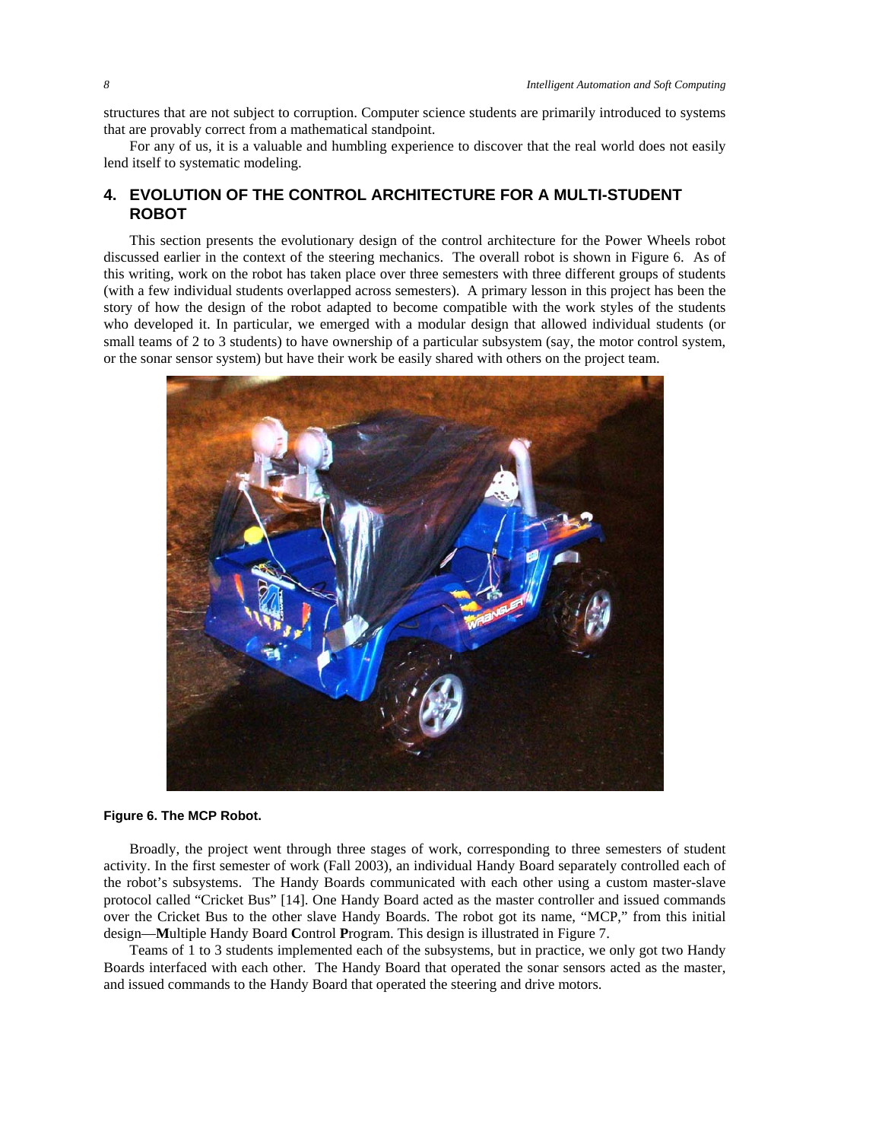structures that are not subject to corruption. Computer science students are primarily introduced to systems that are provably correct from a mathematical standpoint.

For any of us, it is a valuable and humbling experience to discover that the real world does not easily lend itself to systematic modeling.

## **4. EVOLUTION OF THE CONTROL ARCHITECTURE FOR A MULTI-STUDENT ROBOT**

This section presents the evolutionary design of the control architecture for the Power Wheels robot discussed earlier in the context of the steering mechanics. The overall robot is shown in Figure 6. As of this writing, work on the robot has taken place over three semesters with three different groups of students (with a few individual students overlapped across semesters). A primary lesson in this project has been the story of how the design of the robot adapted to become compatible with the work styles of the students who developed it. In particular, we emerged with a modular design that allowed individual students (or small teams of 2 to 3 students) to have ownership of a particular subsystem (say, the motor control system, or the sonar sensor system) but have their work be easily shared with others on the project team.



### **Figure 6. The MCP Robot.**

Broadly, the project went through three stages of work, corresponding to three semesters of student activity. In the first semester of work (Fall 2003), an individual Handy Board separately controlled each of the robot's subsystems. The Handy Boards communicated with each other using a custom master-slave protocol called "Cricket Bus" [14]. One Handy Board acted as the master controller and issued commands over the Cricket Bus to the other slave Handy Boards. The robot got its name, "MCP," from this initial design—**M**ultiple Handy Board **C**ontrol **P**rogram. This design is illustrated in Figure 7.

Teams of 1 to 3 students implemented each of the subsystems, but in practice, we only got two Handy Boards interfaced with each other. The Handy Board that operated the sonar sensors acted as the master, and issued commands to the Handy Board that operated the steering and drive motors.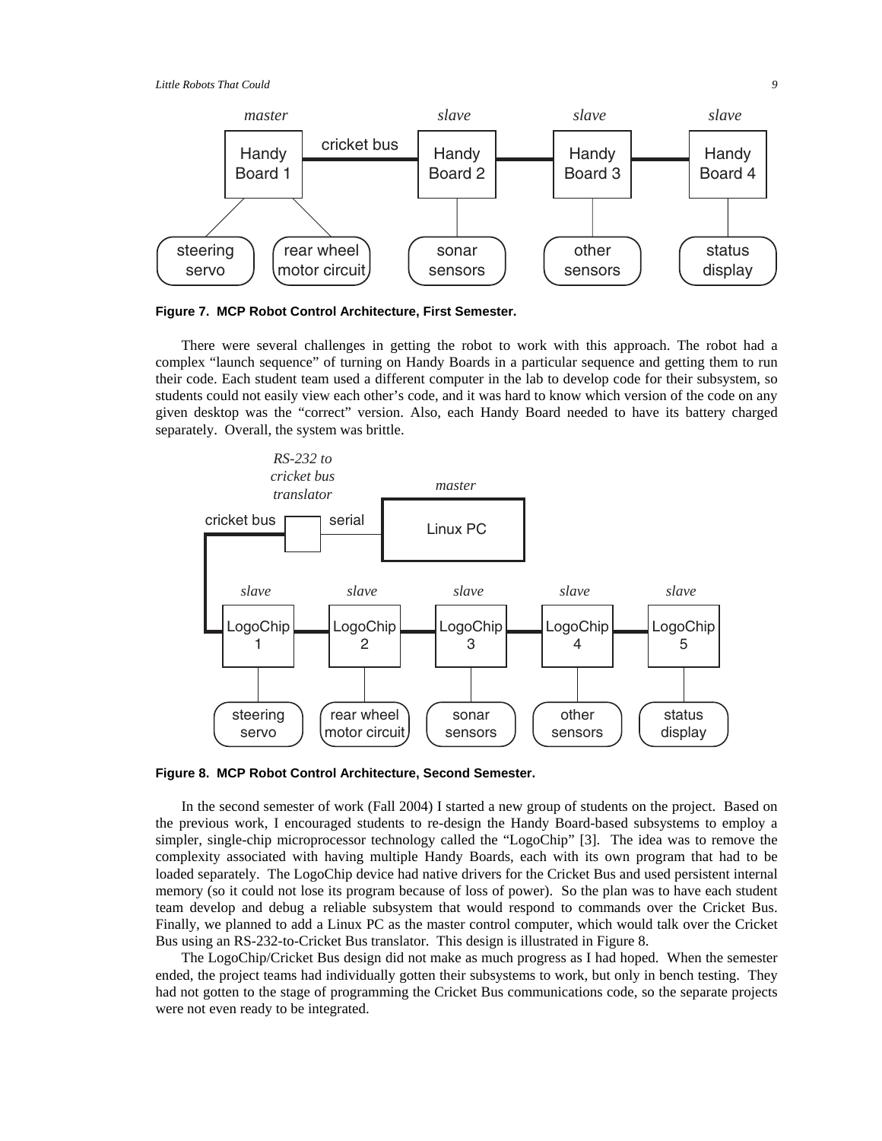

**Figure 7. MCP Robot Control Architecture, First Semester.** 

There were several challenges in getting the robot to work with this approach. The robot had a complex "launch sequence" of turning on Handy Boards in a particular sequence and getting them to run their code. Each student team used a different computer in the lab to develop code for their subsystem, so students could not easily view each other's code, and it was hard to know which version of the code on any given desktop was the "correct" version. Also, each Handy Board needed to have its battery charged separately. Overall, the system was brittle.



**Figure 8. MCP Robot Control Architecture, Second Semester.** 

In the second semester of work (Fall 2004) I started a new group of students on the project. Based on the previous work, I encouraged students to re-design the Handy Board-based subsystems to employ a simpler, single-chip microprocessor technology called the "LogoChip" [3]. The idea was to remove the complexity associated with having multiple Handy Boards, each with its own program that had to be loaded separately. The LogoChip device had native drivers for the Cricket Bus and used persistent internal memory (so it could not lose its program because of loss of power). So the plan was to have each student team develop and debug a reliable subsystem that would respond to commands over the Cricket Bus. Finally, we planned to add a Linux PC as the master control computer, which would talk over the Cricket Bus using an RS-232-to-Cricket Bus translator. This design is illustrated in Figure 8.

The LogoChip/Cricket Bus design did not make as much progress as I had hoped. When the semester ended, the project teams had individually gotten their subsystems to work, but only in bench testing. They had not gotten to the stage of programming the Cricket Bus communications code, so the separate projects were not even ready to be integrated.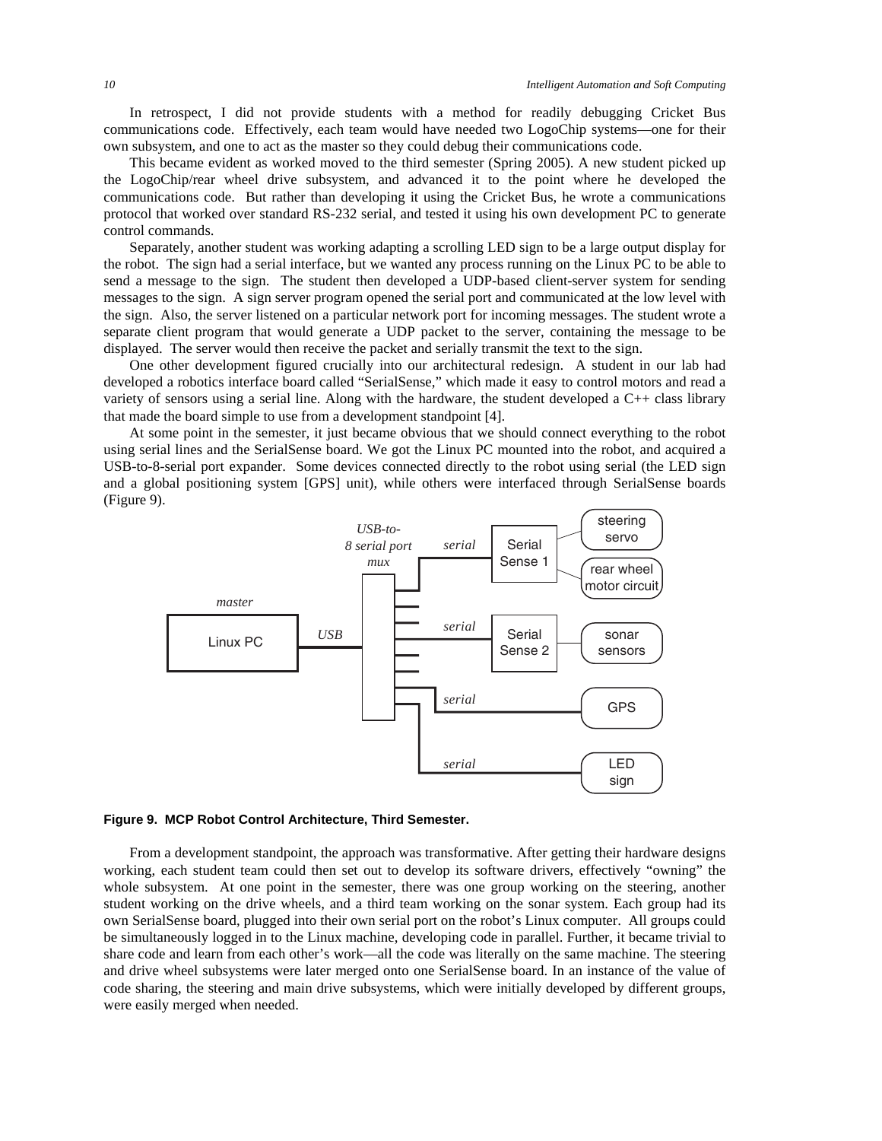In retrospect, I did not provide students with a method for readily debugging Cricket Bus communications code. Effectively, each team would have needed two LogoChip systems—one for their own subsystem, and one to act as the master so they could debug their communications code.

This became evident as worked moved to the third semester (Spring 2005). A new student picked up the LogoChip/rear wheel drive subsystem, and advanced it to the point where he developed the communications code. But rather than developing it using the Cricket Bus, he wrote a communications protocol that worked over standard RS-232 serial, and tested it using his own development PC to generate control commands.

Separately, another student was working adapting a scrolling LED sign to be a large output display for the robot. The sign had a serial interface, but we wanted any process running on the Linux PC to be able to send a message to the sign. The student then developed a UDP-based client-server system for sending messages to the sign. A sign server program opened the serial port and communicated at the low level with the sign. Also, the server listened on a particular network port for incoming messages. The student wrote a separate client program that would generate a UDP packet to the server, containing the message to be displayed. The server would then receive the packet and serially transmit the text to the sign.

One other development figured crucially into our architectural redesign. A student in our lab had developed a robotics interface board called "SerialSense," which made it easy to control motors and read a variety of sensors using a serial line. Along with the hardware, the student developed a C++ class library that made the board simple to use from a development standpoint [4].

At some point in the semester, it just became obvious that we should connect everything to the robot using serial lines and the SerialSense board. We got the Linux PC mounted into the robot, and acquired a USB-to-8-serial port expander. Some devices connected directly to the robot using serial (the LED sign and a global positioning system [GPS] unit), while others were interfaced through SerialSense boards (Figure 9).



#### **Figure 9. MCP Robot Control Architecture, Third Semester.**

From a development standpoint, the approach was transformative. After getting their hardware designs working, each student team could then set out to develop its software drivers, effectively "owning" the whole subsystem. At one point in the semester, there was one group working on the steering, another student working on the drive wheels, and a third team working on the sonar system. Each group had its own SerialSense board, plugged into their own serial port on the robot's Linux computer. All groups could be simultaneously logged in to the Linux machine, developing code in parallel. Further, it became trivial to share code and learn from each other's work—all the code was literally on the same machine. The steering and drive wheel subsystems were later merged onto one SerialSense board. In an instance of the value of code sharing, the steering and main drive subsystems, which were initially developed by different groups, were easily merged when needed.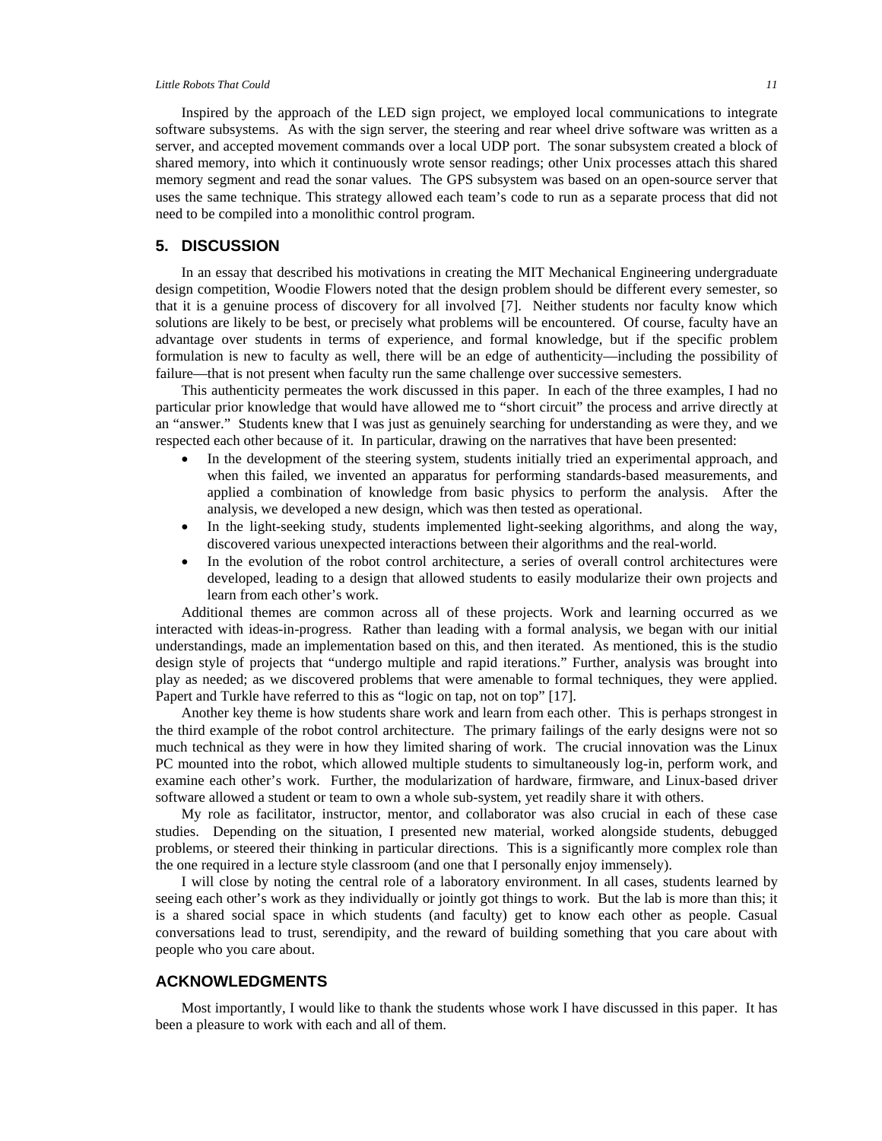#### *Little Robots That Could 11*

Inspired by the approach of the LED sign project, we employed local communications to integrate software subsystems. As with the sign server, the steering and rear wheel drive software was written as a server, and accepted movement commands over a local UDP port. The sonar subsystem created a block of shared memory, into which it continuously wrote sensor readings; other Unix processes attach this shared memory segment and read the sonar values. The GPS subsystem was based on an open-source server that uses the same technique. This strategy allowed each team's code to run as a separate process that did not need to be compiled into a monolithic control program.

### **5. DISCUSSION**

In an essay that described his motivations in creating the MIT Mechanical Engineering undergraduate design competition, Woodie Flowers noted that the design problem should be different every semester, so that it is a genuine process of discovery for all involved [7]. Neither students nor faculty know which solutions are likely to be best, or precisely what problems will be encountered. Of course, faculty have an advantage over students in terms of experience, and formal knowledge, but if the specific problem formulation is new to faculty as well, there will be an edge of authenticity—including the possibility of failure—that is not present when faculty run the same challenge over successive semesters.

This authenticity permeates the work discussed in this paper. In each of the three examples, I had no particular prior knowledge that would have allowed me to "short circuit" the process and arrive directly at an "answer." Students knew that I was just as genuinely searching for understanding as were they, and we respected each other because of it. In particular, drawing on the narratives that have been presented:

- In the development of the steering system, students initially tried an experimental approach, and when this failed, we invented an apparatus for performing standards-based measurements, and applied a combination of knowledge from basic physics to perform the analysis. After the analysis, we developed a new design, which was then tested as operational.
- In the light-seeking study, students implemented light-seeking algorithms, and along the way, discovered various unexpected interactions between their algorithms and the real-world.
- In the evolution of the robot control architecture, a series of overall control architectures were developed, leading to a design that allowed students to easily modularize their own projects and learn from each other's work.

Additional themes are common across all of these projects. Work and learning occurred as we interacted with ideas-in-progress. Rather than leading with a formal analysis, we began with our initial understandings, made an implementation based on this, and then iterated. As mentioned, this is the studio design style of projects that "undergo multiple and rapid iterations." Further, analysis was brought into play as needed; as we discovered problems that were amenable to formal techniques, they were applied. Papert and Turkle have referred to this as "logic on tap, not on top" [17].

Another key theme is how students share work and learn from each other. This is perhaps strongest in the third example of the robot control architecture. The primary failings of the early designs were not so much technical as they were in how they limited sharing of work. The crucial innovation was the Linux PC mounted into the robot, which allowed multiple students to simultaneously log-in, perform work, and examine each other's work. Further, the modularization of hardware, firmware, and Linux-based driver software allowed a student or team to own a whole sub-system, yet readily share it with others.

My role as facilitator, instructor, mentor, and collaborator was also crucial in each of these case studies. Depending on the situation, I presented new material, worked alongside students, debugged problems, or steered their thinking in particular directions. This is a significantly more complex role than the one required in a lecture style classroom (and one that I personally enjoy immensely).

I will close by noting the central role of a laboratory environment. In all cases, students learned by seeing each other's work as they individually or jointly got things to work. But the lab is more than this; it is a shared social space in which students (and faculty) get to know each other as people. Casual conversations lead to trust, serendipity, and the reward of building something that you care about with people who you care about.

## **ACKNOWLEDGMENTS**

Most importantly, I would like to thank the students whose work I have discussed in this paper. It has been a pleasure to work with each and all of them.